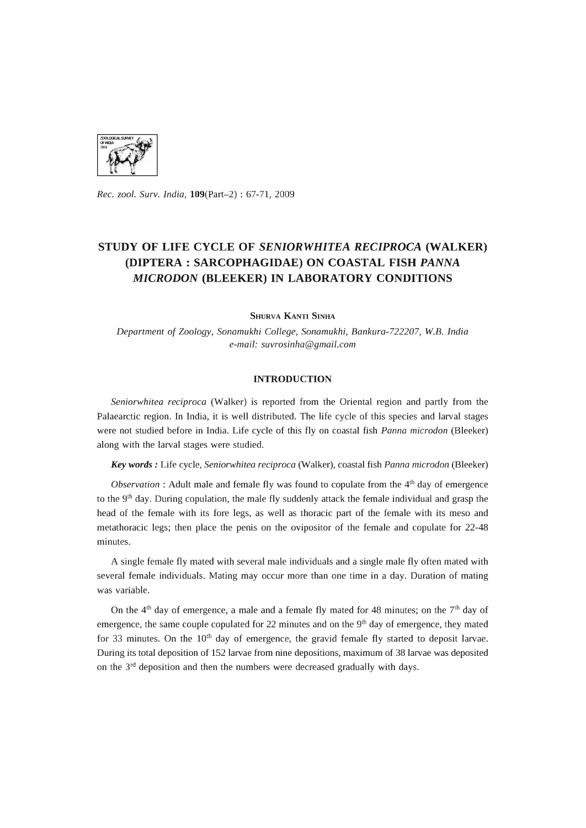

*Rec. zool. Surv. India,* 109(Part-2) : 67-71, 2009

# **STUDY OF LIFE CYCLE OF** *SENIORWHITEA RECIPROCA* **(WALKER) (DIPTERA : SARCOPHAGIDAE) ON COASTAL FISH** *PANNA MICRODON* **(BLEEKER) IN LABORATORY CONDITIONS**

SHURVA KANTI SINHA

*Department* of *Zoology, Sonamukhi College, Sonamukhi, Bankura-722207, W.B. India e-mail: suvrosinha@gmail.com* 

## **INTRODUCTION**

*Seniorwhitea reciproca* (Walker) is reported from the Oriental region and partly from the Palaearctic region. In India, it is well distributed. The life cycle of this species and larval stages were not studied before in India. Life cycle of this fly on coastal fish *Panna microdon* (Bleeker) along with the larval stages were studied.

*Key words:* Life cycle, *Seniorwhitea reciproca* (Walker), coastal fish *Panna microdon* (Bleeker)

*Observation*: Adult male and female fly was found to copulate from the 4<sup>th</sup> day of emergence to the 9<sup>th</sup> day. During copulation, the male fly suddenly attack the female individual and grasp the head of the female with its fore legs, as well as thoracic part of the female with its meso and metathoracic legs; then place the penis on the ovipositor of the female and copulate for 22-48 minutes.

A single female fly mated with several male individuals and a single male fly often mated with several female individuals. Mating may occur more than one time in a day. Duration of mating was variable.

On the  $4<sup>th</sup>$  day of emergence, a male and a female fly mated for 48 minutes; on the  $7<sup>th</sup>$  day of emergence, the same couple copulated for 22 minutes and on the  $9<sup>th</sup>$  day of emergence, they mated for 33 minutes. On the  $10<sup>th</sup>$  day of emergence, the gravid female fly started to deposit larvae. During its total deposition of 152 larvae from nine depositions, maximum of 38 larvae was deposited on the  $3<sup>rd</sup>$  deposition and then the numbers were decreased gradually with days.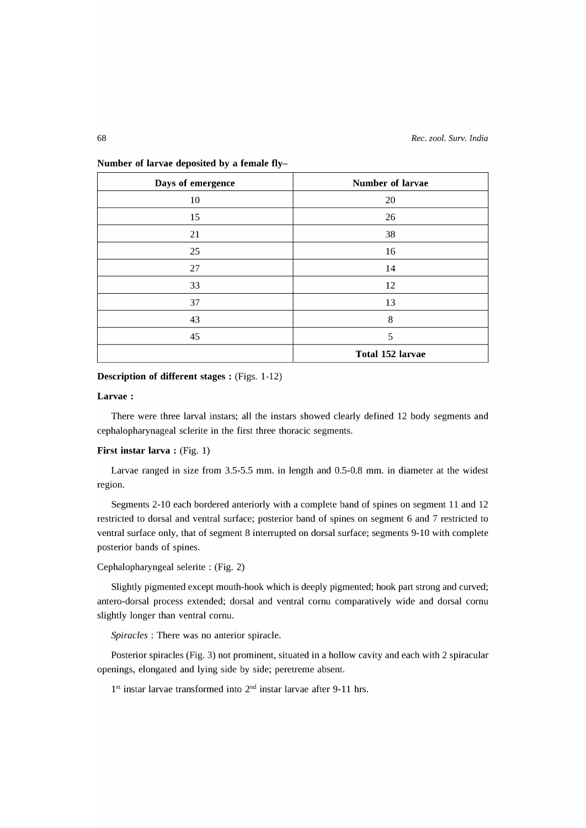| Days of emergence | <b>Number of larvae</b> |
|-------------------|-------------------------|
| 10                | 20                      |
| 15                | 26                      |
| 21                | 38                      |
| 25                | 16                      |
| 27                | 14                      |
| 33                | 12                      |
| 37                | 13                      |
| 43                | 8                       |
| 45                | 5                       |
|                   | <b>Total 152 larvae</b> |

Number of larvae deposited by a female fly-

## Description of different stages: (Figs. 1-12)

#### Larvae:

There were three larval instars; all the instars showed clearly defined 12 body segments and cephalopharynageal sclerite in the first three thoracic segments.

## First instar larva:  $(Fig. 1)$

Larvae ranged in size from 3.5-5.5 mm. in length and 0.5-0.8 mm. in diameter at the widest region.

Segments 2-10 each bordered anteriorly with a complete band of spines on segment 11 and 12 restricted to dorsal and ventral surface; posterior band of spines on segment 6 and 7 restricted to ventral surface only, that of segment 8 interrupted on dorsal surface; segments 9-10 with complete posterior bands of spines.

## Cephalopharyngeal selerite : (Fig. 2)

Slightly pigmented except mouth-hook which is deeply pigmented; hook part strong and curved; antero-dorsal process extended; dorsal and ventral cornu comparatively wide and dorsal cornu slightly longer than ventral cornu.

*Spiracles* : There was no anterior spiracle.

Posterior spiracles (Fig. 3) not prominent, situated in a hollow cavity and each with 2 spiracular openings, elongated and lying side by side; peretreme absent.

 $1<sup>st</sup>$  instar larvae transformed into  $2<sup>nd</sup>$  instar larvae after 9-11 hrs.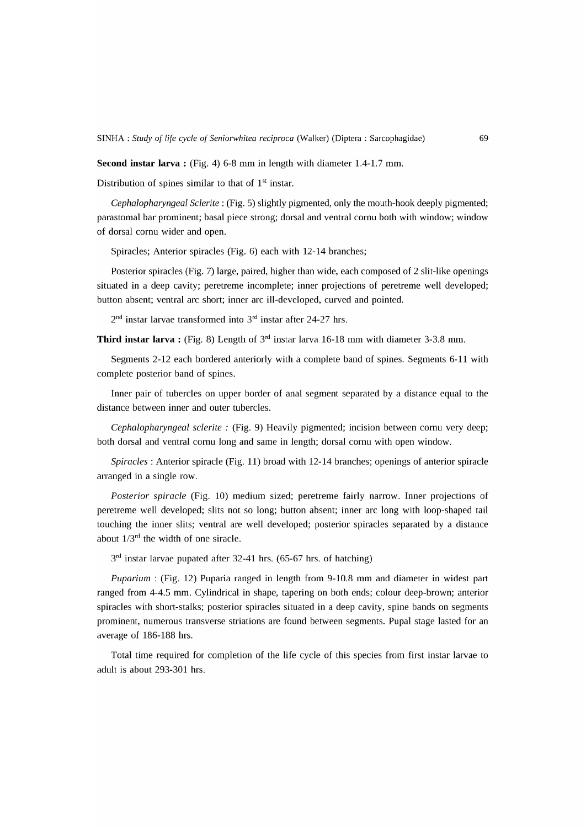**Second instar larva:** (Fig. 4) 6-8 mm in length with diameter 1.4-1.7 mm.

Distribution of spines similar to that of  $1<sup>st</sup>$  instar.

*Cephalopharyngeal Sclerite* : (Fig. 5) slightly pigmented, only the mouth-hook deeply pigmented; parastomal bar prominent; basal piece strong; dorsal and ventral cornu both with window; window of dorsal cornu wider and open.

Spiracles; Anterior spiracles (Fig. 6) each with 12-14 branches;

Posterior spiracles (Fig. 7) large, paired, higher than wide, each composed of 2 slit-like openings situated in a deep cavity; peretreme incomplete; inner projections of peretreme well developed; button absent; ventral arc short; inner arc ill-developed, curved and pointed.

 $2<sup>nd</sup>$  instar larvae transformed into  $3<sup>rd</sup>$  instar after 24-27 hrs.

**Third instar larva:** (Fig. 8) Length of 3rd instar larva 16-18 mm with diameter 3-3.8 mm.

Segments 2-12 each bordered anteriorly with a complete band of spines. Segments 6-11 with complete posterior band of spines.

Inner pair of tubercles on upper border of anal segment separated by a distance equal to the distance between inner and outer tubercles.

*Cephalopharyngeal sclerite* : (Fig. 9) Heavily pigmented; incision between cornu very deep; both dorsal and ventral cornu long and same in length; dorsal cornu with open window.

*Spiracles:* Anterior spiracle (Fig. 11) broad with 12-14 branches; openings of anterior spiracle arranged in a single row.

*Posterior spiracle* (Fig. 10) medium sized; peretreme fairly narrow. Inner projections of peretreme well developed; slits not so long; button absent; inner arc long with loop-shaped tail touching the inner slits; ventral are well developed; posterior spiracles separated by a distance about  $1/3^{rd}$  the width of one siracle.

3<sup>rd</sup> instar larvae pupated after 32-41 hrs. (65-67 hrs. of hatching)

*Puparium* : (Fig. 12) Puparia ranged in length from 9-10.8 mm and diameter in widest part ranged from 4-4.5 mm. Cylindrical in shape, tapering on both ends; colour deep-brown; anterior spiracles with short-stalks; posterior spiracles situated in a deep cavity, spine bands on segments prominent, numerous transverse striations are found between segments. Pupal stage lasted for an average of 186-188 hrs.

Total time required for completion of the life cycle of this species from first instar larvae to adult is about 293-301 hrs.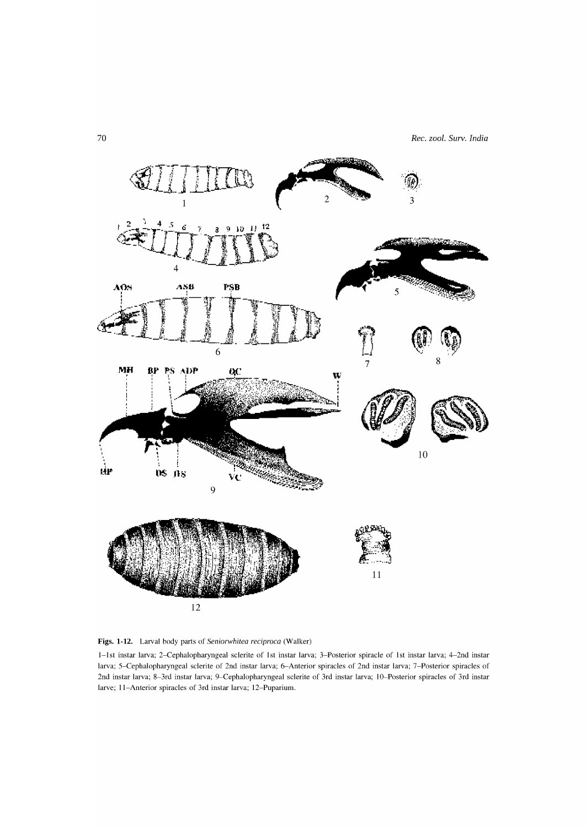

Figs. 1-12. Larval body parts of Seniorwhitea reciproca (Walker)

1-1st instar larva; 2-Cephalopharyngeal sclerite of 1st instar larva; 3-Posterior spiracle of 1st instar larva; 4-2nd instar larva; 5-Cephalopharyngeal sclerite of 2nd instar larva; 6-Anterior spiracles of 2nd instar larva; 7-Posterior spiracles of 2nd instar larva; 8-3rd instar larva; 9-Cephalopharyngeal sclerite of 3rd instar larva; 10-Posterior spiracles of 3rd instar larve; 11-Anterior spiracles of 3rd instar larva; 12-Puparium.